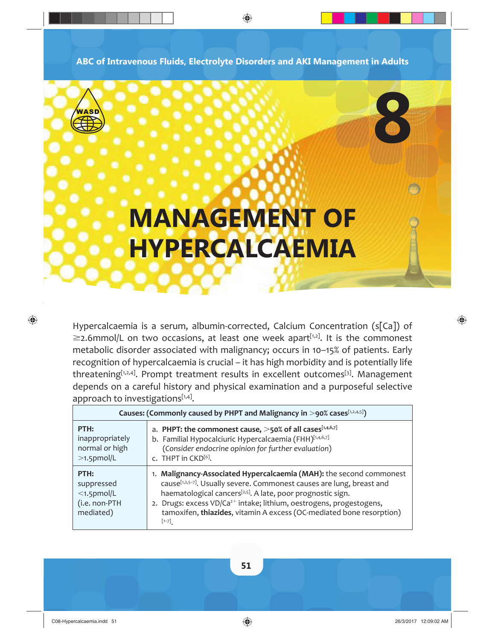**ABC of Intravenous Fluids, Electrolyte Disorders and AKI Management in Adults**

◈

# WASD

 $\bigoplus$ 

# **MANAGEMENT OF HYPERCALCAEMIA**

Hypercalcaemia is a serum, albumin-corrected, Calcium Concentration (s[Ca]) of  $\geq$ 2.6mmol/L on two occasions, at least one week apart<sup>[1,2]</sup>. It is the commonest metabolic disorder associated with malignancy; occurs in 10–15% of patients. Early recognition of hypercalcaemia is crucial – it has high morbidity and is potentially life threatening<sup>[1,2,4]</sup>. Prompt treatment results in excellent outcomes<sup>[3]</sup>. Management depends on a careful history and physical examination and a purposeful selective approach to investigations[1,4].

| Causes: (Commonly caused by PHPT and Malignancy in $>$ 90% cases[1,2,4,5]) |                                                                                                                                                                                                                                                                                                                                                                                                            |  |
|----------------------------------------------------------------------------|------------------------------------------------------------------------------------------------------------------------------------------------------------------------------------------------------------------------------------------------------------------------------------------------------------------------------------------------------------------------------------------------------------|--|
| PTH:<br>inappropriately<br>normal or high<br>$>1.5$ pmol/L                 | a. PHPT: the commonest cause, $>50\%$ of all cases <sup>[1,4,6,7]</sup><br>b. Familial Hypocalciuric Hypercalcaemia (FHH)[1,4,6,7]<br>(Consider endocrine opinion for further evaluation)<br>c. THPT in CKD <sup>[6]</sup> .                                                                                                                                                                               |  |
| PTH:<br>suppressed<br>$<$ 1.5pmol/L<br>(i.e. non-PTH<br>mediated)          | 1. Malignancy-Associated Hypercalcaemia (MAH): the second commonest<br>cause <sup>[1,2,5-7]</sup> . Usually severe. Commonest causes are lung, breast and<br>haematological cancers <sup>[2,5]</sup> . A late, poor prognostic sign.<br>2. Drugs: excess VD/Ca <sup>2+</sup> intake; lithium, oestrogens, progestogens,<br>tamoxifen, thiazides, vitamin A excess (OC-mediated bone resorption)<br>$[1-7]$ |  |



⊕

**8**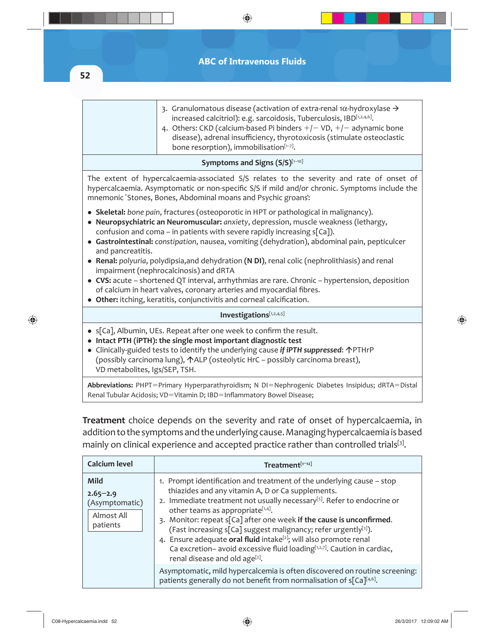**ABC of Intravenous Fluids**

 $\bigoplus$ 

**52**

 $\bigoplus$ 

|                                                                                                                                                                                                                                                                                                                                                                                                                                                                                                                                                                                                                                                                                                                                                                                   | 3. Granulomatous disease (activation of extra-renal 1 $\alpha$ -hydroxylase $\rightarrow$<br>increased calcitriol): e.g. sarcoidosis, Tuberculosis, IBD[1,2,4,6].<br>4. Others: CKD (calcium-based Pi binders $+/-$ VD, $+/-$ adynamic bone<br>disease), adrenal insufficiency, thyrotoxicosis (stimulate osteoclastic<br>bone resorption), immobilisation <sup>[1-7]</sup> . |  |  |
|-----------------------------------------------------------------------------------------------------------------------------------------------------------------------------------------------------------------------------------------------------------------------------------------------------------------------------------------------------------------------------------------------------------------------------------------------------------------------------------------------------------------------------------------------------------------------------------------------------------------------------------------------------------------------------------------------------------------------------------------------------------------------------------|-------------------------------------------------------------------------------------------------------------------------------------------------------------------------------------------------------------------------------------------------------------------------------------------------------------------------------------------------------------------------------|--|--|
| Symptoms and Signs (S/S)[1-10]                                                                                                                                                                                                                                                                                                                                                                                                                                                                                                                                                                                                                                                                                                                                                    |                                                                                                                                                                                                                                                                                                                                                                               |  |  |
| The extent of hypercalcaemia-associated S/S relates to the severity and rate of onset of<br>hypercalcaemia. Asymptomatic or non-specific S/S if mild and/or chronic. Symptoms include the<br>mnemonic 'Stones, Bones, Abdominal moans and Psychic groans':                                                                                                                                                                                                                                                                                                                                                                                                                                                                                                                        |                                                                                                                                                                                                                                                                                                                                                                               |  |  |
| • Skeletal: bone pain, fractures (osteoporotic in HPT or pathological in malignancy).<br>• Neuropsychiatric an Neuromuscular: anxiety, depression, muscle weakness (lethargy,<br>confusion and coma – in patients with severe rapidly increasing $s[Ca]$ ).<br>• Gastrointestinal: constipation, nausea, vomiting (dehydration), abdominal pain, pepticulcer<br>and pancreatitis.<br>• Renal: polyuria, polydipsia, and dehydration (N DI), renal colic (nephrolithiasis) and renal<br>impairment (nephrocalcinosis) and dRTA<br>• CVS: acute – shortened QT interval, arrhythmias are rare. Chronic – hypertension, deposition<br>of calcium in heart valves, coronary arteries and myocardial fibres.<br>• Other: itching, keratitis, conjunctivitis and corneal calcification. |                                                                                                                                                                                                                                                                                                                                                                               |  |  |
| Investigations[1,2,4,5]                                                                                                                                                                                                                                                                                                                                                                                                                                                                                                                                                                                                                                                                                                                                                           |                                                                                                                                                                                                                                                                                                                                                                               |  |  |
| • s[Ca], Albumin, UEs. Repeat after one week to confirm the result.<br>• Intact PTH (iPTH): the single most important diagnostic test<br>• Clinically-guided tests to identify the underlying cause if iPTH suppressed: $\triangle$ PTHrP<br>(possibly carcinoma lung), $\triangle$ ALP (osteolytic HrC – possibly carcinoma breast),<br>VD metabolites, Igs/SEP, TSH.                                                                                                                                                                                                                                                                                                                                                                                                            |                                                                                                                                                                                                                                                                                                                                                                               |  |  |
| Abbreviations: PHPT=Primary Hyperparathyroidism; N DI=Nephrogenic Diabetes Insipidus; dRTA=Distal<br>Renal Tubular Acidosis; VD=Vitamin D; IBD=Inflammatory Bowel Disease;                                                                                                                                                                                                                                                                                                                                                                                                                                                                                                                                                                                                        |                                                                                                                                                                                                                                                                                                                                                                               |  |  |

**Treatment** choice depends on the severity and rate of onset of hypercalcaemia, in addition to the symptoms and the underlying cause. Managing hypercalcaemia is based mainly on clinical experience and accepted practice rather than controlled trials[3].

| <b>Calcium level</b>                                                    | Treatment[1-12]                                                                                                                                                                                                                                                                                                                                                                                                                                                                                                                                                                                           |
|-------------------------------------------------------------------------|-----------------------------------------------------------------------------------------------------------------------------------------------------------------------------------------------------------------------------------------------------------------------------------------------------------------------------------------------------------------------------------------------------------------------------------------------------------------------------------------------------------------------------------------------------------------------------------------------------------|
| <b>Mild</b><br>$2.65 - 2.9$<br>(Asymptomatic)<br>Almost All<br>patients | 1. Prompt identification and treatment of the underlying cause – stop<br>thiazides and any vitamin A, D or Ca supplements.<br>2. Immediate treatment not usually necessary <sup>[5]</sup> . Refer to endocrine or<br>other teams as appropriate[1,4].<br>3. Monitor: repeat s[Ca] after one week if the cause is unconfirmed.<br>(Fast increasing s[Ca] suggest malignancy; refer urgently[2]).<br>4. Ensure adequate oral fluid intake <sup>[2]</sup> ; will also promote renal<br>Ca excretion- avoid excessive fluid loading[1,2,7]. Caution in cardiac,<br>renal disease and old age <sup>[2]</sup> . |
|                                                                         | Asymptomatic, mild hypercalcemia is often discovered on routine screening:<br>patients generally do not benefit from normalisation of s[Ca][4,6].                                                                                                                                                                                                                                                                                                                                                                                                                                                         |

 $\bigoplus$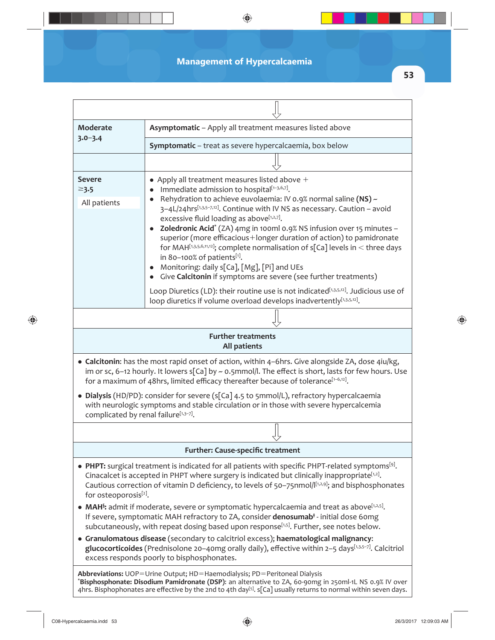## **Management of Hypercalcaemia**

 $\bigoplus$ 

**53**

 $\bigoplus$ 

| <b>Moderate</b>                             | Asymptomatic - Apply all treatment measures listed above                                                                                                                                                                                                                                                                                                                                                                                                                                                                                                                                                                                                                                                                                                                                                             |
|---------------------------------------------|----------------------------------------------------------------------------------------------------------------------------------------------------------------------------------------------------------------------------------------------------------------------------------------------------------------------------------------------------------------------------------------------------------------------------------------------------------------------------------------------------------------------------------------------------------------------------------------------------------------------------------------------------------------------------------------------------------------------------------------------------------------------------------------------------------------------|
| $3.0 - 3.4$                                 | Symptomatic - treat as severe hypercalcaemia, box below                                                                                                                                                                                                                                                                                                                                                                                                                                                                                                                                                                                                                                                                                                                                                              |
|                                             |                                                                                                                                                                                                                                                                                                                                                                                                                                                                                                                                                                                                                                                                                                                                                                                                                      |
| <b>Severe</b><br>$\geq$ 3.5<br>All patients | • Apply all treatment measures listed above $+$<br>Immediate admission to hospital <sup>[1-3,6,7]</sup> .<br>• Rehydration to achieve euvolaemia: IV 0.9% normal saline $(NS)$ ~<br>3-4L/24hrs[1,3,5-7,12]. Continue with IV NS as necessary. Caution - avoid<br>excessive fluid loading as above[1,2,7].<br>• Zoledronic Acid <sup>*</sup> (ZA) 4mg in 100ml 0.9% NS infusion over 15 minutes -<br>superior (more efficacious+longer duration of action) to pamidronate<br>for MAH[1,3,5,6,11,12]; complete normalisation of $s[Ca]$ levels in < three days<br>in 80-100% of patients[1].<br>• Monitoring: daily s[Ca], [Mg], [Pi] and UEs<br>• Give Calcitonin if symptoms are severe (see further treatments)<br>Loop Diuretics (LD): their routine use is not indicated <sup>[1,3,5,12]</sup> . Judicious use of |
|                                             | loop diuretics if volume overload develops inadvertently[1,3,5,12].                                                                                                                                                                                                                                                                                                                                                                                                                                                                                                                                                                                                                                                                                                                                                  |
|                                             |                                                                                                                                                                                                                                                                                                                                                                                                                                                                                                                                                                                                                                                                                                                                                                                                                      |
|                                             | <b>Further treatments</b><br>All patients                                                                                                                                                                                                                                                                                                                                                                                                                                                                                                                                                                                                                                                                                                                                                                            |
|                                             | • Calcitonin: has the most rapid onset of action, within 4-6hrs. Give alongside ZA, dose 4iu/kg,<br>im or sc, 6-12 hourly. It lowers s[Ca] by $\sim$ 0.5mmol/l. The effect is short, lasts for few hours. Use<br>for a maximum of 48hrs, limited efficacy thereafter because of tolerance[1-6,12].                                                                                                                                                                                                                                                                                                                                                                                                                                                                                                                   |
| complicated by renal failure[1,3-7].        | • Dialysis (HD/PD): consider for severe (s[Ca] 4.5 to 5mmol/L), refractory hypercalcaemia<br>with neurologic symptoms and stable circulation or in those with severe hypercalcemia                                                                                                                                                                                                                                                                                                                                                                                                                                                                                                                                                                                                                                   |
|                                             |                                                                                                                                                                                                                                                                                                                                                                                                                                                                                                                                                                                                                                                                                                                                                                                                                      |
|                                             | <b>Further: Cause-specific treatment</b>                                                                                                                                                                                                                                                                                                                                                                                                                                                                                                                                                                                                                                                                                                                                                                             |
| for osteoporosis <sup>[2]</sup> .           | • PHPT: surgical treatment is indicated for all patients with specific PHPT-related symptoms <sup>[9]</sup> .<br>Cinacalcet is accepted in PHPT where surgery is indicated but clinically inappropriate <sup>[1,2]</sup> .<br>Cautious correction of vitamin D deficiency, to levels of 50-75nmol/[[1,2,9]; and bisphosphonates                                                                                                                                                                                                                                                                                                                                                                                                                                                                                      |
|                                             | • MAH <sup>§</sup> : admit if moderate, severe or symptomatic hypercalcaemia and treat as above <sup>[1,2,5]</sup> .<br>If severe, symptomatic MAH refractory to ZA, consider denosumab <sup>†</sup> - initial dose 60mg<br>subcutaneously, with repeat dosing based upon response <sup>[1,5]</sup> . Further, see notes below.                                                                                                                                                                                                                                                                                                                                                                                                                                                                                      |
|                                             | • Granulomatous disease (secondary to calcitriol excess); haematological malignancy:<br>glucocorticoides (Prednisolone 20-40mg orally daily), effective within 2-5 days[1,3,5-7]. Calcitriol<br>excess responds poorly to bisphosphonates.                                                                                                                                                                                                                                                                                                                                                                                                                                                                                                                                                                           |
|                                             | Abbreviations: UOP=Urine Output; HD=Haemodialysis; PD=Peritoneal Dialysis<br>*Bisphosphonate: Disodium Pamidronate (DSP): an alternative to ZA, 60-90mg in 250ml-1L NS 0.9% IV over<br>4hrs. Bisphophonates are effective by the 2nd to 4th day <sup>[5]</sup> . $s[Ca]$ usually returns to normal within seven days.                                                                                                                                                                                                                                                                                                                                                                                                                                                                                                |

 $\bigoplus$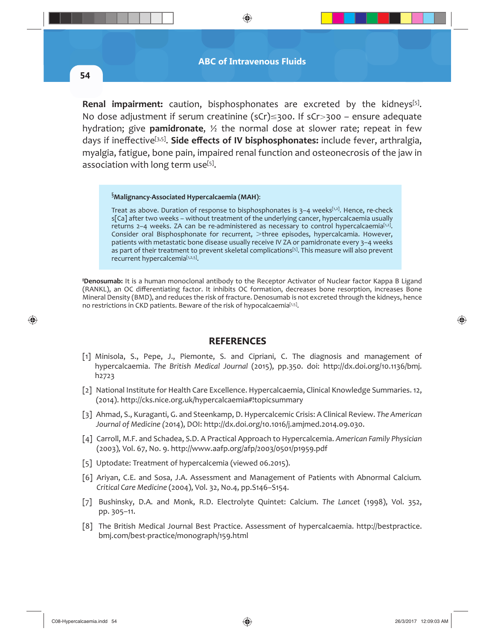⊕

**54**

 $\bigcirc$ 

**Renal impairment:** caution, bisphosphonates are excreted by the kidneys<sup>[5]</sup>. No dose adjustment if serum creatinine ( $sCr \leq 300$ . If  $sCr > 300$  – ensure adequate hydration; give **pamidronate**, ½ the normal dose at slower rate; repeat in few days if ineffective<sup>[3,5]</sup>. Side effects of IV bisphosphonates: include fever, arthralgia, myalgia, fatigue, bone pain, impaired renal function and osteonecrosis of the jaw in association with long term use<sup>[5]</sup>.

### § **Malignancy-Associated Hypercalcaemia (MAH)**:

Treat as above. Duration of response to bisphosphonates is  $3-4$  weeks<sup> $[1,2]$ </sup>. Hence, re-check s[Ca] after two weeks – without treatment of the underlying cancer, hypercalcaemia usually returns  $2-4$  weeks. ZA can be re-administered as necessary to control hypercalcaemia<sup>[1,2]</sup>. Consider oral Bisphosphonate for recurrent, >three episodes, hypercalcamia. However, patients with metastatic bone disease usually receive IV ZA or pamidronate every 3–4 weeks as part of their treatment to prevent skeletal complications<sup>[5]</sup>. This measure will also prevent recurrent hypercalcemia[1,2,5].

**‡ Denosumab:** It is a human monoclonal antibody to the Receptor Activator of Nuclear factor Kappa B Ligand (RANKL), an OC differentiating factor. It inhibits OC formation, decreases bone resorption, increases Bone Mineral Density (BMD), and reduces the risk of fracture. Denosumab is not excreted through the kidneys, hence no restrictions in CKD patients. Beware of the risk of hypocalcaemia[1,5].

#### **REFERENCES**

- [1] Minisola, S., Pepe, J., Piemonte, S. and Cipriani, C. The diagnosis and management of hypercalcaemia. *The British Medical Journal* (2015), pp.350. doi: http://dx.doi.org/10.1136/bmj. h2723
- [2] National Institute for Health Care Excellence. Hypercalcaemia, Clinical Knowledge Summaries. 12, (2014). http://cks.nice.org.uk/hypercalcaemia#!topicsummary
- [3] Ahmad, S., Kuraganti, G. and Steenkamp, D. Hypercalcemic Crisis: A Clinical Review. *The American Journal of Medicine (*2014), DOI: http://dx.doi.org/10.1016/j.amjmed.2014.09.030.
- [4] Carroll, M.F. and Schadea, S.D. A Practical Approach to Hypercalcemia. *American Family Physician*  (2003)*,* Vol. 67, No. 9. http://www.aafp.org/afp/2003/0501/p1959.pdf
- [5] Uptodate: Treatment of hypercalcemia (viewed 06.2015).
- [6] Ariyan, C.E. and Sosa, J.A. Assessment and Management of Patients with Abnormal Calcium*. Critical Care Medicine* (2004), Vol. 32, No.4, pp.S146–S154.
- [7] Bushinsky, D.A. and Monk, R.D. Electrolyte Quintet: Calcium. *The Lancet* (1998), Vol. 352, pp. 305–11.
- [8] The British Medical Journal Best Practice. Assessment of hypercalcaemia. http://bestpractice. bmj.com/best-practice/monograph/159.html

♠